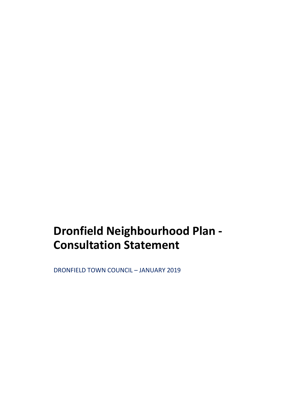# **Dronfield Neighbourhood Plan - Consultation Statement**

DRONFIELD TOWN COUNCIL – JANUARY 2019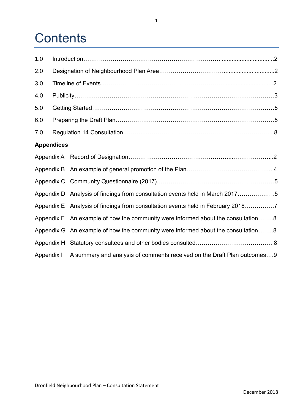# **Contents**

| 1.0        |                   |                                                                                  |  |
|------------|-------------------|----------------------------------------------------------------------------------|--|
| 2.0        |                   |                                                                                  |  |
| 3.0        |                   |                                                                                  |  |
| 4.0        |                   |                                                                                  |  |
| 5.0        |                   |                                                                                  |  |
| 6.0        |                   |                                                                                  |  |
| 7.0        |                   |                                                                                  |  |
|            | <b>Appendices</b> |                                                                                  |  |
|            |                   |                                                                                  |  |
|            |                   |                                                                                  |  |
|            |                   |                                                                                  |  |
|            |                   | Appendix D Analysis of findings from consultation events held in March 20175     |  |
|            |                   | Appendix E Analysis of findings from consultation events held in February 20187  |  |
|            |                   | Appendix F An example of how the community were informed about the consultation8 |  |
|            |                   | Appendix G An example of how the community were informed about the consultation8 |  |
|            |                   |                                                                                  |  |
| Appendix I |                   | A summary and analysis of comments received on the Draft Plan outcomes9          |  |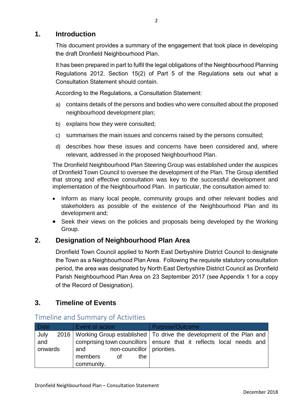# **1. Introduction**

This document provides a summary of the engagement that took place in developing the draft Dronfield Neighbourhood Plan.

It has been prepared in part to fulfil the legal obligations of the Neighbourhood Planning Regulations 2012. Section 15(2) of Part 5 of the Regulations sets out what a Consultation Statement should contain.

According to the Regulations, a Consultation Statement:

- a) contains details of the persons and bodies who were consulted about the proposed neighbourhood development plan;
- b) explains how they were consulted;
- c) summarises the main issues and concerns raised by the persons consulted;
- d) describes how these issues and concerns have been considered and, where relevant, addressed in the proposed Neighbourhood Plan.

The Dronfield Neighbourhood Plan Steering Group was established under the auspices of Dronfield Town Council to oversee the development of the Plan. The Group identified that strong and effective consultation was key to the successful development and implementation of the Neighbourhood Plan. In particular, the consultation aimed to:

- Inform as many local people, community groups and other relevant bodies and stakeholders as possible of the existence of the Neighbourhood Plan and its development and;
- Seek their views on the policies and proposals being developed by the Working Group.

## **2. Designation of Neighbourhood Plan Area**

Dronfield Town Council applied to North East Derbyshire District Council to designate the Town as a Neighbourhood Plan Area. Following the requisite statutory consultation period, the area was designated by North East Derbyshire District Council as Dronfield Parish Neighbourhood Plan Area on 23 September 2017 (see Appendix 1 for a copy of the Record of Designation).

# **3. Timeline of Events**

| <b>Date</b>            | Event or action                                                           | Purpose/Outcome                                                                                                                                    |
|------------------------|---------------------------------------------------------------------------|----------------------------------------------------------------------------------------------------------------------------------------------------|
| July<br>and<br>onwards | non-councillor   priorities.<br>and<br>members<br>the<br>of<br>community. | 2016   Working Group established   To drive the development of the Plan and<br>comprising town councillors ensure that it reflects local needs and |

## Timeline and Summary of Activities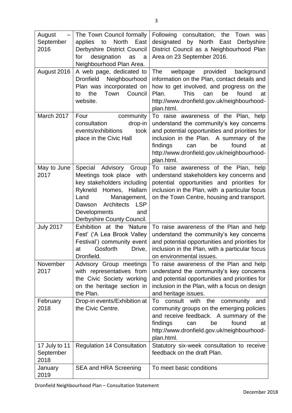| August            | The Town Council formally                              | Following consultation, the Town was                                                      |
|-------------------|--------------------------------------------------------|-------------------------------------------------------------------------------------------|
| September         | North<br>East<br>applies<br>to                         | by North<br>designated<br>East<br>Derbyshire                                              |
| 2016              | Derbyshire District Council                            | District Council as a Neighbourhood Plan                                                  |
|                   | designation<br>for<br>as<br>a                          | Area on 23 September 2016.                                                                |
|                   | Neighbourhood Plan Area.                               |                                                                                           |
| August 2016       | A web page, dedicated to<br><b>Dronfield</b>           | webpage<br>provided<br>The<br>background                                                  |
|                   | Neighbourhood<br>Plan was incorporated on              | information on the Plan, contact details and<br>how to get involved, and progress on the  |
|                   | the<br>Town<br>Council<br>to                           | <b>This</b><br>found<br>Plan.<br>can<br>be<br>at                                          |
|                   | website.                                               | http://www.dronfield.gov.uk/neighbourhood-                                                |
|                   |                                                        | plan.html.                                                                                |
| March 2017        | Four<br>community                                      | To raise awareness of the Plan, help                                                      |
|                   | drop-in<br>consultation                                | understand the community's key concerns                                                   |
|                   | events/exhibitions<br>took                             | and potential opportunities and priorities for                                            |
|                   | place in the Civic Hall                                | inclusion in the Plan. A summary of the                                                   |
|                   |                                                        | found<br>findings<br>be<br>can<br>at                                                      |
|                   |                                                        | http://www.dronfield.gov.uk/neighbourhood-                                                |
|                   |                                                        | plan.html.                                                                                |
| May to June       | Advisory Group<br>Special                              | To raise awareness of the Plan, help                                                      |
| 2017              | Meetings took place with<br>key stakeholders including | understand stakeholders key concerns and<br>potential opportunities and priorities for    |
|                   | Rykneld<br>Homes, Hallam                               | inclusion in the Plan, with a particular focus                                            |
|                   | Land<br>Management,                                    | on the Town Centre, housing and transport.                                                |
|                   | Architects<br><b>LSP</b><br>Dawson                     |                                                                                           |
|                   | Developments<br>and                                    |                                                                                           |
|                   | Derbyshire County Council.                             |                                                                                           |
| <b>July 2017</b>  | Exhibition at the 'Nature                              | To raise awareness of the Plan and help                                                   |
|                   | Fest' ('A Lea Brook Valley                             | understand the community's key concerns                                                   |
|                   | Festival') community event                             | and potential opportunities and priorities for                                            |
|                   | at Gosforth Drive,                                     | inclusion in the Plan, with a particular focus                                            |
|                   | Dronfield.                                             | on environmental issues.                                                                  |
| November          | Advisory Group meetings                                | To raise awareness of the Plan and help                                                   |
| 2017              | with representatives from<br>the Civic Society working | understand the community's key concerns<br>and potential opportunities and priorities for |
|                   | on the heritage section in                             | inclusion in the Plan, with a focus on design                                             |
|                   | the Plan.                                              | and heritage issues.                                                                      |
| February          | Drop-in events/Exhibition at                           | consult with the<br>To<br>community<br>and                                                |
| 2018              | the Civic Centre.                                      | community groups on the emerging policies                                                 |
|                   |                                                        | and receive feedback. A summary of the                                                    |
|                   |                                                        | findings<br>found<br>be<br>can<br>at                                                      |
|                   |                                                        | http://www.dronfield.gov.uk/neighbourhood-                                                |
|                   |                                                        | plan.html.                                                                                |
| 17 July to 11     | <b>Regulation 14 Consultation</b>                      | Statutory six-week consultation to receive                                                |
| September<br>2018 |                                                        | feedback on the draft Plan.                                                               |
| January           | <b>SEA and HRA Screening</b>                           | To meet basic conditions                                                                  |
| 2019              |                                                        |                                                                                           |
|                   |                                                        |                                                                                           |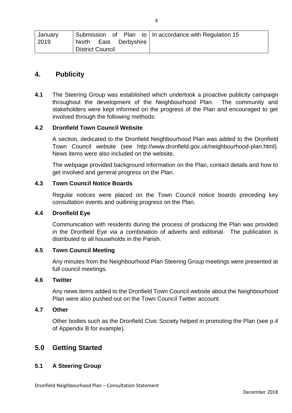| January |                         | Submission of Plan to   In accordance with Regulation 15 |
|---------|-------------------------|----------------------------------------------------------|
| 2019    | North East Derbyshire   |                                                          |
|         | <b>District Council</b> |                                                          |

## **4. Publicity**

**4.1** The Steering Group was established which undertook a proactive publicity campaign throughout the development of the Neighbourhood Plan. The community and stakeholders were kept informed on the progress of the Plan and encouraged to get involved through the following methods:

#### **4.2 Dronfield Town Council Website**

A section, dedicated to the Dronfield Neighbourhood Plan was added to the Dronfield Town Council website (see http://www.dronfield.gov.uk/neighbourhood-plan.html). News items were also included on the website.

The webpage provided background information on the Plan, contact details and how to get involved and general progress on the Plan.

#### **4.3 Town Council Notice Boards**

Regular notices were placed on the Town Council notice boards preceding key consultation events and outlining progress on the Plan.

### **4.4 Dronfield Eye**

Communication with residents during the process of producing the Plan was provided in the Dronfield Eye via a combination of adverts and editorial. The publication is distributed to all households in the Parish.

## **4.5 Town Council Meeting**

Any minutes from the Neighbourhood Plan Steering Group meetings were presented at full council meetings.

#### **4.6 Twitter**

Any news items added to the Dronfield Town Council website about the Neighbourhood Plan were also pushed out on the Town Council Twitter account.

#### **4.7 Other**

Other bodies such as the Dronfield Civic Society helped in promoting the Plan (see p.4 of Appendix B for example).

## **5.0 Getting Started**

## **5.1 A Steering Group**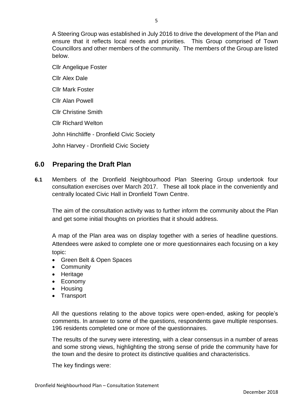A Steering Group was established in July 2016 to drive the development of the Plan and ensure that it reflects local needs and priorities. This Group comprised of Town Councillors and other members of the community. The members of the Group are listed below.

Cllr Angelique Foster Cllr Alex Dale Cllr Mark Foster Cllr Alan Powell Cllr Christine Smith Cllr Richard Welton John Hinchliffe - Dronfield Civic Society

John Harvey - Dronfield Civic Society

# **6.0 Preparing the Draft Plan**

**6.1** Members of the Dronfield Neighbourhood Plan Steering Group undertook four consultation exercises over March 2017. These all took place in the conveniently and centrally located Civic Hall in Dronfield Town Centre.

The aim of the consultation activity was to further inform the community about the Plan and get some initial thoughts on priorities that it should address.

A map of the Plan area was on display together with a series of headline questions. Attendees were asked to complete one or more questionnaires each focusing on a key topic:

- Green Belt & Open Spaces
- Community
- Heritage
- Economy
- Housing
- Transport

All the questions relating to the above topics were open-ended, asking for people's comments. In answer to some of the questions, respondents gave multiple responses. 196 residents completed one or more of the questionnaires.

The results of the survey were interesting, with a clear consensus in a number of areas and some strong views, highlighting the strong sense of pride the community have for the town and the desire to protect its distinctive qualities and characteristics.

The key findings were: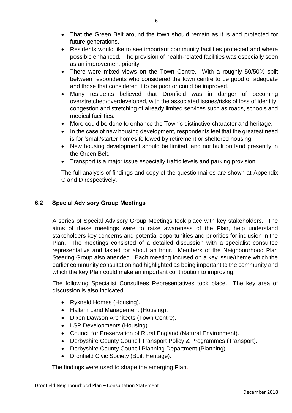- That the Green Belt around the town should remain as it is and protected for future generations.
- Residents would like to see important community facilities protected and where possible enhanced. The provision of health-related facilities was especially seen as an improvement priority.
- There were mixed views on the Town Centre. With a roughly 50/50% split between respondents who considered the town centre to be good or adequate and those that considered it to be poor or could be improved.
- Many residents believed that Dronfield was in danger of becoming overstretched/overdeveloped, with the associated issues/risks of loss of identity, congestion and stretching of already limited services such as roads, schools and medical facilities.
- More could be done to enhance the Town's distinctive character and heritage.
- In the case of new housing development, respondents feel that the greatest need is for 'small/starter homes followed by retirement or sheltered housing.
- New housing development should be limited, and not built on land presently in the Green Belt.
- Transport is a major issue especially traffic levels and parking provision.

The full analysis of findings and copy of the questionnaires are shown at Appendix C and D respectively.

## **6.2 Special Advisory Group Meetings**

A series of Special Advisory Group Meetings took place with key stakeholders. The aims of these meetings were to raise awareness of the Plan, help understand stakeholders key concerns and potential opportunities and priorities for inclusion in the Plan. The meetings consisted of a detailed discussion with a specialist consultee representative and lasted for about an hour. Members of the Neighbourhood Plan Steering Group also attended. Each meeting focused on a key issue/theme which the earlier community consultation had highlighted as being important to the community and which the key Plan could make an important contribution to improving.

The following Specialist Consultees Representatives took place. The key area of discussion is also indicated.

- Rykneld Homes (Housing).
- Hallam Land Management (Housing).
- Dixon Dawson Architects (Town Centre).
- LSP Developments (Housing).
- Council for Preservation of Rural England (Natural Environment).
- Derbyshire County Council Transport Policy & Programmes (Transport).
- Derbyshire County Council Planning Department (Planning).
- Dronfield Civic Society (Built Heritage).

The findings were used to shape the emerging Plan.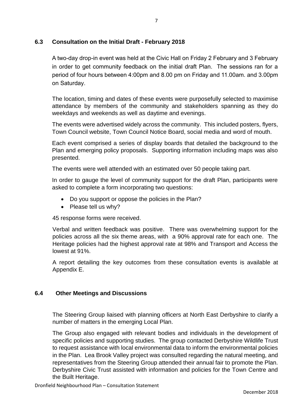## **6.3 Consultation on the Initial Draft - February 2018**

A two-day drop-in event was held at the Civic Hall on Friday 2 February and 3 February in order to get community feedback on the initial draft Plan. The sessions ran for a period of four hours between 4:00pm and 8.00 pm on Friday and 11.00am. and 3.00pm on Saturday.

The location, timing and dates of these events were purposefully selected to maximise attendance by members of the community and stakeholders spanning as they do weekdays and weekends as well as daytime and evenings.

The events were advertised widely across the community. This included posters, flyers, Town Council website, Town Council Notice Board, social media and word of mouth.

Each event comprised a series of display boards that detailed the background to the Plan and emerging policy proposals. Supporting information including maps was also presented.

The events were well attended with an estimated over 50 people taking part.

In order to gauge the level of community support for the draft Plan, participants were asked to complete a form incorporating two questions:

- Do you support or oppose the policies in the Plan?
- Please tell us why?

45 response forms were received.

Verbal and written feedback was positive. There was overwhelming support for the policies across all the six theme areas, with a 90% approval rate for each one. The Heritage policies had the highest approval rate at 98% and Transport and Access the lowest at 91%.

A report detailing the key outcomes from these consultation events is available at Appendix E.

## **6.4 Other Meetings and Discussions**

The Steering Group liaised with planning officers at North East Derbyshire to clarify a number of matters in the emerging Local Plan.

The Group also engaged with relevant bodies and individuals in the development of specific policies and supporting studies. The group contacted Derbyshire Wildlife Trust to request assistance with local environmental data to inform the environmental policies in the Plan. Lea Brook Valley project was consulted regarding the natural meeting, and representatives from the Steering Group attended their annual fair to promote the Plan. Derbyshire Civic Trust assisted with information and policies for the Town Centre and the Built Heritage.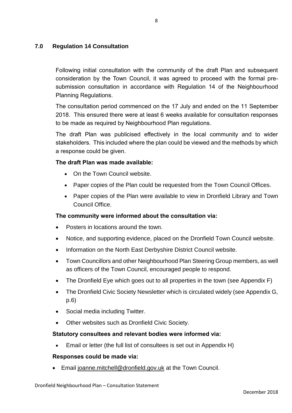## **7.0 Regulation 14 Consultation**

Following initial consultation with the community of the draft Plan and subsequent consideration by the Town Council, it was agreed to proceed with the formal presubmission consultation in accordance with Regulation 14 of the Neighbourhood Planning Regulations.

The consultation period commenced on the 17 July and ended on the 11 September 2018. This ensured there were at least 6 weeks available for consultation responses to be made as required by Neighbourhood Plan regulations.

The draft Plan was publicised effectively in the local community and to wider stakeholders. This included where the plan could be viewed and the methods by which a response could be given.

## **The draft Plan was made available:**

- On the Town Council website.
- Paper copies of the Plan could be requested from the Town Council Offices.
- Paper copies of the Plan were available to view in Dronfield Library and Town Council Office.

## **The community were informed about the consultation via:**

- Posters in locations around the town.
- Notice, and supporting evidence, placed on the Dronfield Town Council website.
- Information on the North East Derbyshire District Council website.
- Town Councillors and other Neighbourhood Plan Steering Group members, as well as officers of the Town Council, encouraged people to respond.
- The Dronfield Eye which goes out to all properties in the town (see Appendix F)
- The Dronfield Civic Society Newsletter which is circulated widely (see Appendix G, p.6)
- Social media including Twitter.
- Other websites such as Dronfield Civic Society.

## **Statutory consultees and relevant bodies were informed via:**

Email or letter (the full list of consultees is set out in Appendix H)

## **Responses could be made via:**

Email [joanne.mitchell@dronfield.gov.uk](mailto:joanne.mitchell@dronfield.gov.uk) at the Town Council.